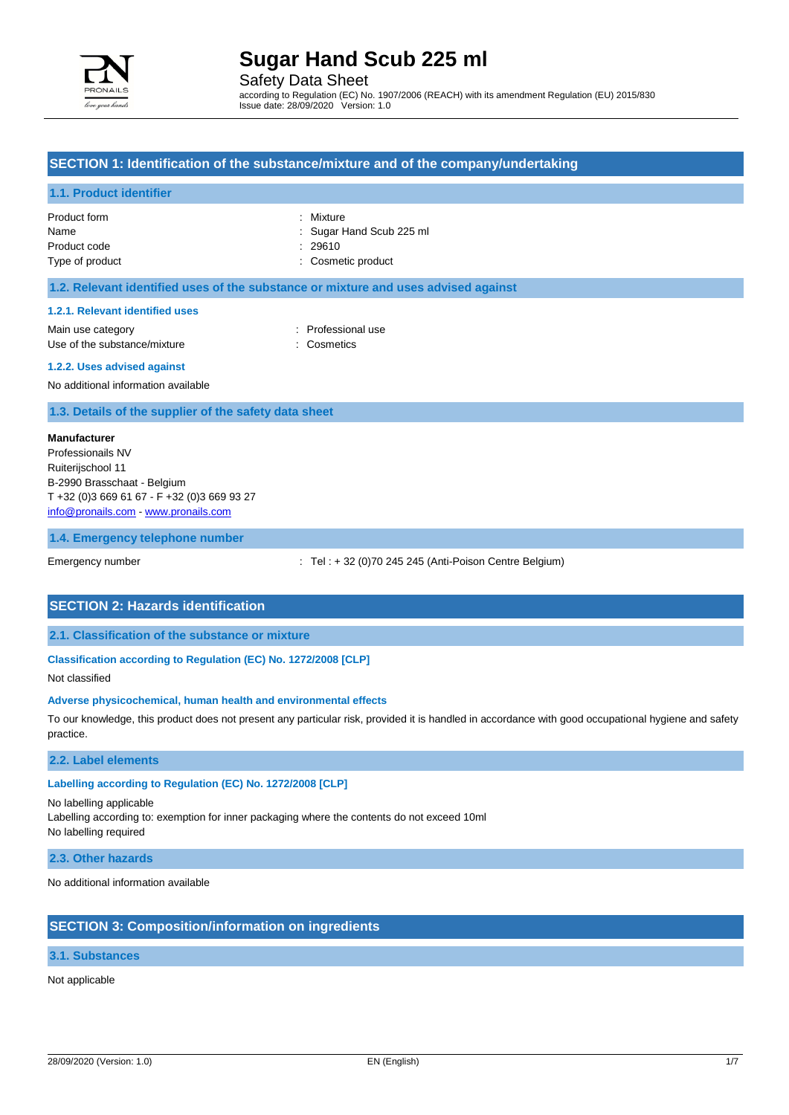

Safety Data Sheet

according to Regulation (EC) No. 1907/2006 (REACH) with its amendment Regulation (EU) 2015/830 Issue date: 28/09/2020 Version: 1.0

## **SECTION 1: Identification of the substance/mixture and of the company/undertaking**

#### **1.1. Product identifier**

| Product form    | : Mixture                |
|-----------------|--------------------------|
| Name            | : Sugar Hand Scub 225 ml |
| Product code    | : 29610                  |
| Type of product | : Cosmetic product       |

| : Mixture            |
|----------------------|
| : Sugar Hand Scub 22 |
| : 29610              |
| Cosmetic product     |

### **1.2. Relevant identified uses of the substance or mixture and uses advised against**

#### **1.2.1. Relevant identified uses**

Main use category **Example 20** and the Professional use Use of the substance/mixture : Cosmetics

#### **1.2.2. Uses advised against**

No additional information available

### **1.3. Details of the supplier of the safety data sheet**

#### **Manufacturer**

Professionails NV Ruiterijschool 11 B-2990 Brasschaat - Belgium T +32 (0)3 669 61 67 - F +32 (0)3 669 93 27 [info@pronails.com](mailto:info@pronails.com) - <www.pronails.com>

### **1.4. Emergency telephone number**

Emergency number : Tel : + 32 (0)70 245 245 (Anti-Poison Centre Belgium)

### **SECTION 2: Hazards identification**

**2.1. Classification of the substance or mixture**

### **Classification according to Regulation (EC) No. 1272/2008 [CLP]**

Not classified

#### **Adverse physicochemical, human health and environmental effects**

To our knowledge, this product does not present any particular risk, provided it is handled in accordance with good occupational hygiene and safety practice.

### **2.2. Label elements**

### **Labelling according to Regulation (EC) No. 1272/2008 [CLP]**

No labelling applicable

Labelling according to: exemption for inner packaging where the contents do not exceed 10ml No labelling required

#### **2.3. Other hazards**

No additional information available

### **SECTION 3: Composition/information on ingredients**

### **3.1. Substances**

Not applicable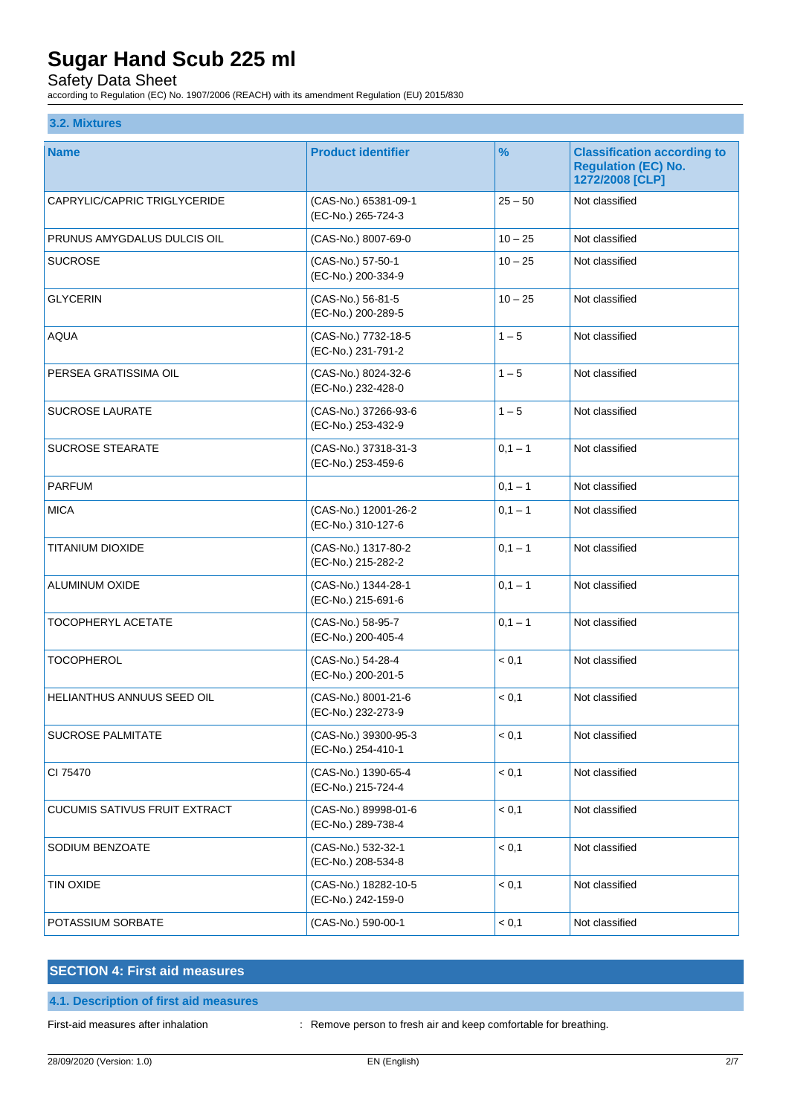Safety Data Sheet

according to Regulation (EC) No. 1907/2006 (REACH) with its amendment Regulation (EU) 2015/830

## **3.2. Mixtures**

| <b>Name</b>                          | <b>Product identifier</b>                  | %         | <b>Classification according to</b>            |
|--------------------------------------|--------------------------------------------|-----------|-----------------------------------------------|
|                                      |                                            |           | <b>Regulation (EC) No.</b><br>1272/2008 [CLP] |
| CAPRYLIC/CAPRIC TRIGLYCERIDE         | (CAS-No.) 65381-09-1<br>(EC-No.) 265-724-3 | $25 - 50$ | Not classified                                |
| PRUNUS AMYGDALUS DULCIS OIL          | (CAS-No.) 8007-69-0                        | $10 - 25$ | Not classified                                |
| <b>SUCROSE</b>                       | (CAS-No.) 57-50-1<br>(EC-No.) 200-334-9    | $10 - 25$ | Not classified                                |
| <b>GLYCERIN</b>                      | (CAS-No.) 56-81-5<br>(EC-No.) 200-289-5    | $10 - 25$ | Not classified                                |
| <b>AQUA</b>                          | (CAS-No.) 7732-18-5<br>(EC-No.) 231-791-2  | $1 - 5$   | Not classified                                |
| PERSEA GRATISSIMA OIL                | (CAS-No.) 8024-32-6<br>(EC-No.) 232-428-0  | $1 - 5$   | Not classified                                |
| <b>SUCROSE LAURATE</b>               | (CAS-No.) 37266-93-6<br>(EC-No.) 253-432-9 | $1 - 5$   | Not classified                                |
| <b>SUCROSE STEARATE</b>              | (CAS-No.) 37318-31-3<br>(EC-No.) 253-459-6 | $0,1 - 1$ | Not classified                                |
| <b>PARFUM</b>                        |                                            | $0,1 - 1$ | Not classified                                |
| <b>MICA</b>                          | (CAS-No.) 12001-26-2<br>(EC-No.) 310-127-6 | $0,1 - 1$ | Not classified                                |
| TITANIUM DIOXIDE                     | (CAS-No.) 1317-80-2<br>(EC-No.) 215-282-2  | $0,1 - 1$ | Not classified                                |
| <b>ALUMINUM OXIDE</b>                | (CAS-No.) 1344-28-1<br>(EC-No.) 215-691-6  | $0,1 - 1$ | Not classified                                |
| <b>TOCOPHERYL ACETATE</b>            | (CAS-No.) 58-95-7<br>(EC-No.) 200-405-4    | $0,1 - 1$ | Not classified                                |
| <b>TOCOPHEROL</b>                    | (CAS-No.) 54-28-4<br>(EC-No.) 200-201-5    | < 0,1     | Not classified                                |
| HELIANTHUS ANNUUS SEED OIL           | (CAS-No.) 8001-21-6<br>(EC-No.) 232-273-9  | < 0,1     | Not classified                                |
| <b>SUCROSE PALMITATE</b>             | (CAS-No.) 39300-95-3<br>(EC-No.) 254-410-1 | < 0,1     | Not classified                                |
| CI 75470                             | (CAS-No.) 1390-65-4<br>(EC-No.) 215-724-4  | < 0,1     | Not classified                                |
| <b>CUCUMIS SATIVUS FRUIT EXTRACT</b> | (CAS-No.) 89998-01-6<br>(EC-No.) 289-738-4 | < 0,1     | Not classified                                |
| SODIUM BENZOATE                      | (CAS-No.) 532-32-1<br>(EC-No.) 208-534-8   | < 0,1     | Not classified                                |
| TIN OXIDE                            | (CAS-No.) 18282-10-5<br>(EC-No.) 242-159-0 | < 0,1     | Not classified                                |
| POTASSIUM SORBATE                    | (CAS-No.) 590-00-1                         | < 0,1     | Not classified                                |

## **SECTION 4: First aid measures**

## **4.1. Description of first aid measures**

First-aid measures after inhalation : Remove person to fresh air and keep comfortable for breathing.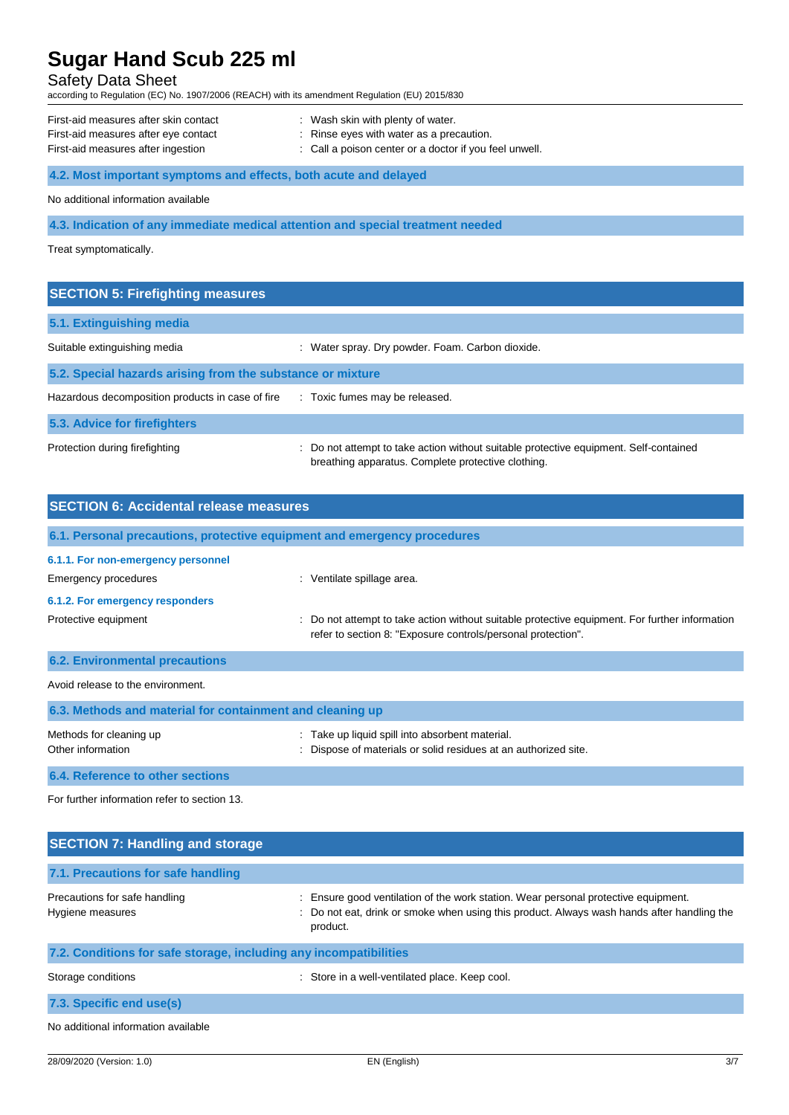## Safety Data Sheet

according to Regulation (EC) No. 1907/2006 (REACH) with its amendment Regulation (EU) 2015/830

| First-aid measures after skin contact | : Wash skin with plenty of water.                      |
|---------------------------------------|--------------------------------------------------------|
| First-aid measures after eye contact  | : Rinse eyes with water as a precaution.               |
| First-aid measures after ingestion    | : Call a poison center or a doctor if you feel unwell. |

## **4.2. Most important symptoms and effects, both acute and delayed**

No additional information available

### **4.3. Indication of any immediate medical attention and special treatment needed**

Treat symptomatically.

| <b>SECTION 5: Firefighting measures</b>                    |                                                                                                                                             |
|------------------------------------------------------------|---------------------------------------------------------------------------------------------------------------------------------------------|
| 5.1. Extinguishing media                                   |                                                                                                                                             |
| Suitable extinguishing media                               | : Water spray. Dry powder. Foam. Carbon dioxide.                                                                                            |
| 5.2. Special hazards arising from the substance or mixture |                                                                                                                                             |
| Hazardous decomposition products in case of fire           | : Toxic fumes may be released.                                                                                                              |
| 5.3. Advice for firefighters                               |                                                                                                                                             |
| Protection during firefighting                             | : Do not attempt to take action without suitable protective equipment. Self-contained<br>breathing apparatus. Complete protective clothing. |

| <b>SECTION 6: Accidental release measures</b>                            |                                                                                                                                                                |
|--------------------------------------------------------------------------|----------------------------------------------------------------------------------------------------------------------------------------------------------------|
| 6.1. Personal precautions, protective equipment and emergency procedures |                                                                                                                                                                |
| 6.1.1. For non-emergency personnel                                       |                                                                                                                                                                |
| Emergency procedures                                                     | : Ventilate spillage area.                                                                                                                                     |
| 6.1.2. For emergency responders                                          |                                                                                                                                                                |
| Protective equipment                                                     | : Do not attempt to take action without suitable protective equipment. For further information<br>refer to section 8: "Exposure controls/personal protection". |
| <b>6.2. Environmental precautions</b>                                    |                                                                                                                                                                |
| Avoid release to the environment.                                        |                                                                                                                                                                |
| 6.3. Methods and material for containment and cleaning up                |                                                                                                                                                                |
| Methods for cleaning up<br>Other information                             | : Take up liquid spill into absorbent material.<br>Dispose of materials or solid residues at an authorized site.                                               |
| 6.4. Reference to other sections                                         |                                                                                                                                                                |

For further information refer to section 13.

| <b>SECTION 7: Handling and storage</b>                            |                                                                                                                                                                                              |
|-------------------------------------------------------------------|----------------------------------------------------------------------------------------------------------------------------------------------------------------------------------------------|
| 7.1. Precautions for safe handling                                |                                                                                                                                                                                              |
| Precautions for safe handling<br>Hygiene measures                 | : Ensure good ventilation of the work station. Wear personal protective equipment.<br>: Do not eat, drink or smoke when using this product. Always wash hands after handling the<br>product. |
| 7.2. Conditions for safe storage, including any incompatibilities |                                                                                                                                                                                              |
| Storage conditions                                                | : Store in a well-ventilated place. Keep cool.                                                                                                                                               |
| 7.3. Specific end use(s)                                          |                                                                                                                                                                                              |
| No additional information available                               |                                                                                                                                                                                              |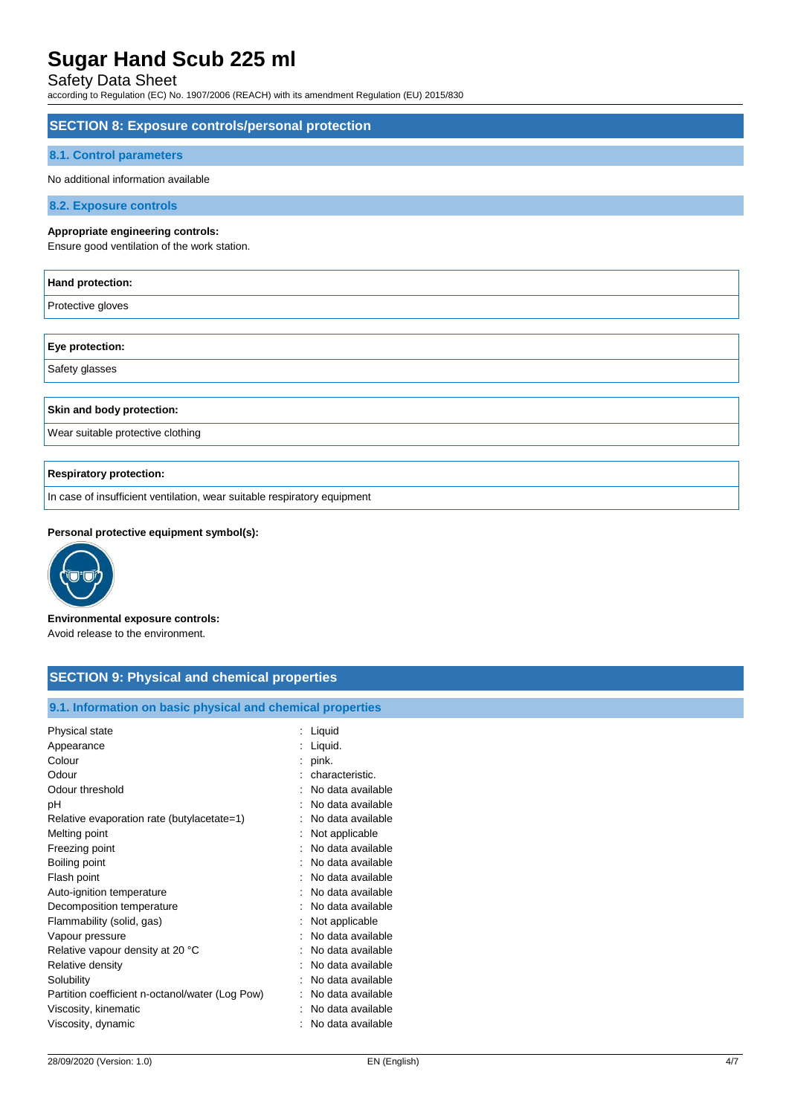## Safety Data Sheet

according to Regulation (EC) No. 1907/2006 (REACH) with its amendment Regulation (EU) 2015/830

# **SECTION 8: Exposure controls/personal protection 8.1. Control parameters** No additional information available **8.2. Exposure controls Appropriate engineering controls:** Ensure good ventilation of the work station. **Hand protection:** Protective gloves

**Eye protection:** Safety glasses

## **Skin and body protection:**

Wear suitable protective clothing

## **Respiratory protection:**

In case of insufficient ventilation, wear suitable respiratory equipment

## **Personal protective equipment symbol(s):**



**Environmental exposure controls:** Avoid release to the environment.

| <b>SECTION 9: Physical and chemical properties</b>         |                     |
|------------------------------------------------------------|---------------------|
|                                                            |                     |
| 9.1. Information on basic physical and chemical properties |                     |
| Physical state                                             | : Liquid            |
| Appearance                                                 | : Liquid.           |
| Colour                                                     | $:$ pink.           |
| Odour                                                      | : characteristic.   |
| Odour threshold                                            | : No data available |
| рH                                                         | No data available   |
| Relative evaporation rate (butylacetate=1)                 | : No data available |
| Melting point                                              | Not applicable      |
| Freezing point                                             | : No data available |
| Boiling point                                              | : No data available |
| Flash point                                                | : No data available |
| Auto-ignition temperature                                  | : No data available |
| Decomposition temperature                                  | : No data available |
| Flammability (solid, gas)                                  | : Not applicable    |
| Vapour pressure                                            | No data available   |
| Relative vapour density at 20 °C                           | : No data available |
| Relative density                                           | : No data available |
| Solubility                                                 | : No data available |
| Partition coefficient n-octanol/water (Log Pow)            | : No data available |
| Viscosity, kinematic                                       | : No data available |
| Viscosity, dynamic                                         | : No data available |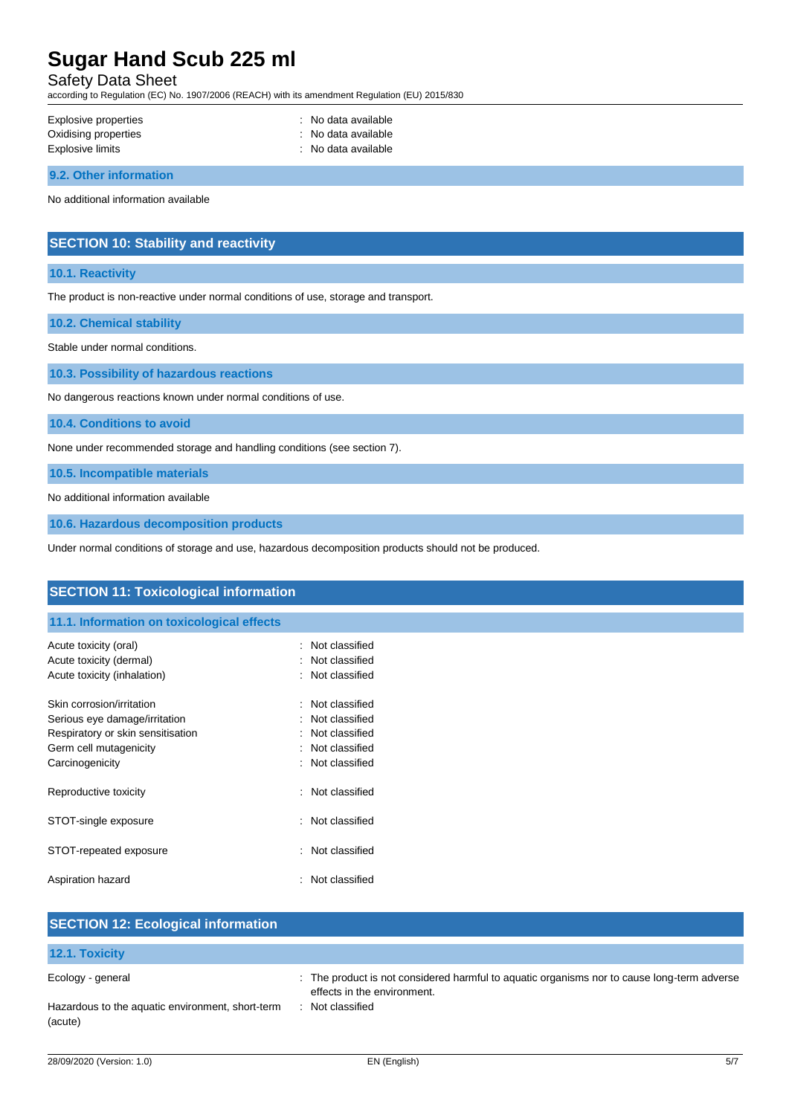## Safety Data Sheet

according to Regulation (EC) No. 1907/2006 (REACH) with its amendment Regulation (EU) 2015/830

| Explosive properties | : No data available |
|----------------------|---------------------|
| Oxidising properties | : No data available |
| Explosive limits     | : No data available |

**9.2. Other information**

No additional information available

## **SECTION 10: Stability and reactivity**

### **10.1. Reactivity**

The product is non-reactive under normal conditions of use, storage and transport.

### **10.2. Chemical stability**

Stable under normal conditions.

**10.3. Possibility of hazardous reactions**

No dangerous reactions known under normal conditions of use.

**10.4. Conditions to avoid**

None under recommended storage and handling conditions (see section 7).

**10.5. Incompatible materials**

No additional information available

**10.6. Hazardous decomposition products**

Under normal conditions of storage and use, hazardous decomposition products should not be produced.

| <b>SECTION 11: Toxicological information</b>                       |                                  |  |
|--------------------------------------------------------------------|----------------------------------|--|
| 11.1. Information on toxicological effects                         |                                  |  |
| Acute toxicity (oral)<br>Acute toxicity (dermal)                   | Not classified<br>Not classified |  |
| Acute toxicity (inhalation)                                        | : Not classified                 |  |
| Skin corrosion/irritation                                          | Not classified<br>÷              |  |
| Serious eye damage/irritation<br>Respiratory or skin sensitisation | Not classified<br>Not classified |  |
| Germ cell mutagenicity<br>Carcinogenicity                          | Not classified<br>Not classified |  |
| Reproductive toxicity                                              | : Not classified                 |  |
| STOT-single exposure                                               | Not classified                   |  |
| STOT-repeated exposure                                             | Not classified                   |  |
| Aspiration hazard                                                  | Not classified                   |  |
| <b>SECTION 12: Ecological information</b>                          |                                  |  |

| 12.1. Toxicity                                              |                                                                                                                            |
|-------------------------------------------------------------|----------------------------------------------------------------------------------------------------------------------------|
| Ecology - general                                           | : The product is not considered harmful to aquatic organisms nor to cause long-term adverse<br>effects in the environment. |
| Hazardous to the aquatic environment, short-term<br>(acute) | Not classified                                                                                                             |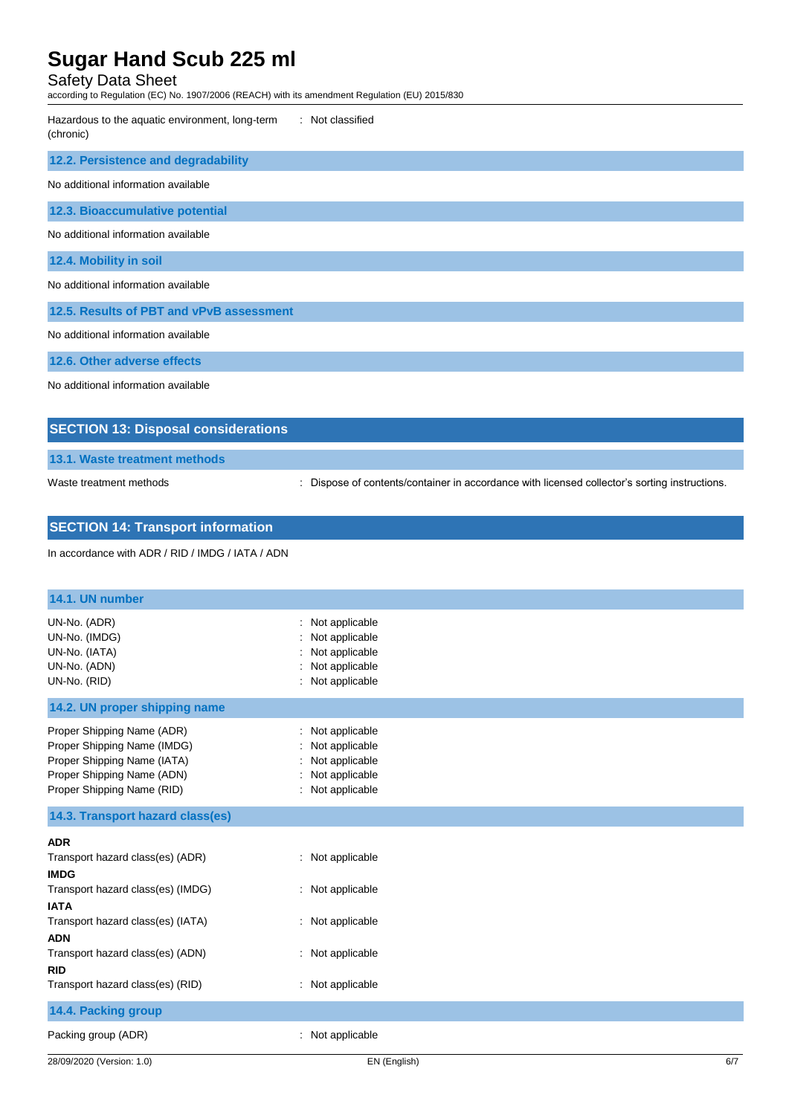## Safety Data Sheet

according to Regulation (EC) No. 1907/2006 (REACH) with its amendment Regulation (EU) 2015/830

| : Not classified<br>Hazardous to the aquatic environment, long-term<br>(chronic) |
|----------------------------------------------------------------------------------|
| 12.2. Persistence and degradability                                              |
| No additional information available                                              |
| 12.3. Bioaccumulative potential                                                  |
| No additional information available                                              |
| 12.4. Mobility in soil                                                           |
| No additional information available                                              |
| 12.5. Results of PBT and vPvB assessment                                         |
| No additional information available                                              |
| 12.6. Other adverse effects                                                      |
| No additional information available                                              |
| <b>SECTION 13: Disposal considerations</b>                                       |

**13.1. Waste treatment methods**

Waste treatment methods : Dispose of contents/container in accordance with licensed collector's sorting instructions.

# **SECTION 14: Transport information**

In accordance with ADR / RID / IMDG / IATA / ADN

| 14.1. UN number                                                                                                                                                                                                                                            |                                                                                                  |
|------------------------------------------------------------------------------------------------------------------------------------------------------------------------------------------------------------------------------------------------------------|--------------------------------------------------------------------------------------------------|
| UN-No. (ADR)<br>UN-No. (IMDG)<br>UN-No. (IATA)<br>UN-No. (ADN)<br>UN-No. (RID)                                                                                                                                                                             | : Not applicable<br>Not applicable<br>Not applicable<br>: Not applicable<br>: Not applicable     |
| 14.2. UN proper shipping name                                                                                                                                                                                                                              |                                                                                                  |
| Proper Shipping Name (ADR)<br>Proper Shipping Name (IMDG)<br>Proper Shipping Name (IATA)<br>Proper Shipping Name (ADN)<br>Proper Shipping Name (RID)                                                                                                       | : Not applicable<br>Not applicable<br>Not applicable<br>: Not applicable<br>: Not applicable     |
| 14.3. Transport hazard class(es)                                                                                                                                                                                                                           |                                                                                                  |
| <b>ADR</b><br>Transport hazard class(es) (ADR)<br><b>IMDG</b><br>Transport hazard class(es) (IMDG)<br><b>IATA</b><br>Transport hazard class(es) (IATA)<br><b>ADN</b><br>Transport hazard class(es) (ADN)<br><b>RID</b><br>Transport hazard class(es) (RID) | : Not applicable<br>: Not applicable<br>: Not applicable<br>: Not applicable<br>: Not applicable |
| 14.4. Packing group                                                                                                                                                                                                                                        |                                                                                                  |
| Packing group (ADR)                                                                                                                                                                                                                                        | : Not applicable                                                                                 |